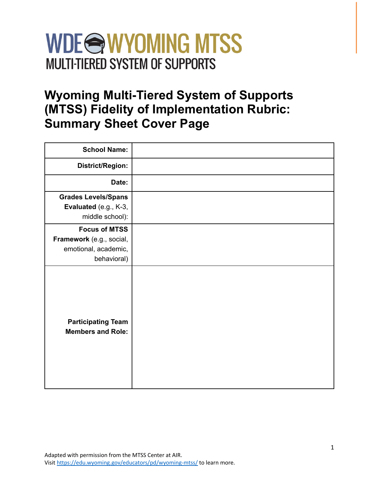## WDE<sup>S</sup>WYOMING MTSS **MULTI-TIERED SYSTEM OF SUPPORTS**

### **Wyoming Multi-Tiered System of Supports (MTSS) Fidelity of Implementation Rubric: Summary Sheet Cover Page**

| <b>School Name:</b>                                                                     |  |
|-----------------------------------------------------------------------------------------|--|
| District/Region:                                                                        |  |
| Date:                                                                                   |  |
| <b>Grades Levels/Spans</b><br>Evaluated (e.g., K-3,<br>middle school):                  |  |
| <b>Focus of MTSS</b><br>Framework (e.g., social,<br>emotional, academic,<br>behavioral) |  |
| <b>Participating Team</b><br><b>Members and Role:</b>                                   |  |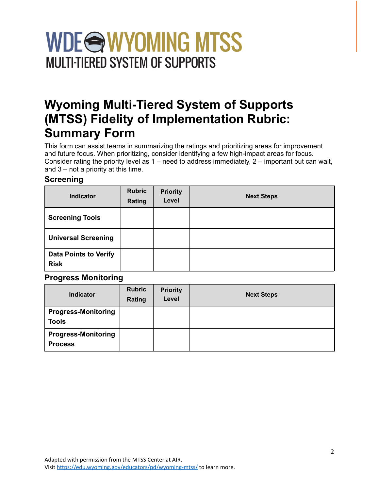# WDE<sup>S</sup>WYOMING MTSS **MULTI-TIERED SYSTEM OF SUPPORTS**

### **Wyoming Multi-Tiered System of Supports (MTSS) Fidelity of Implementation Rubric: Summary Form**

This form can assist teams in summarizing the ratings and prioritizing areas for improvement and future focus. When prioritizing, consider identifying a few high-impact areas for focus. Consider rating the priority level as 1 – need to address immediately, 2 – important but can wait, and 3 – not a priority at this time.

#### **Screening**

| <b>Indicator</b>                            | <b>Rubric</b><br>Rating | <b>Priority</b><br>Level | <b>Next Steps</b> |
|---------------------------------------------|-------------------------|--------------------------|-------------------|
| <b>Screening Tools</b>                      |                         |                          |                   |
| <b>Universal Screening</b>                  |                         |                          |                   |
| <b>Data Points to Verify</b><br><b>Risk</b> |                         |                          |                   |

#### **Progress Monitoring**

| <b>Indicator</b>                             | <b>Rubric</b><br>Rating | <b>Priority</b><br>Level | <b>Next Steps</b> |
|----------------------------------------------|-------------------------|--------------------------|-------------------|
| <b>Progress-Monitoring</b><br><b>Tools</b>   |                         |                          |                   |
| <b>Progress-Monitoring</b><br><b>Process</b> |                         |                          |                   |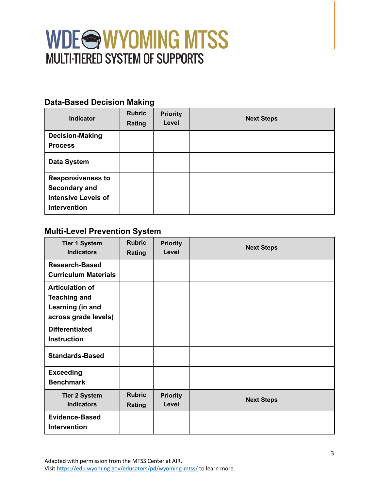#### **Data-Based Decision Making**

| <b>Indicator</b>                                                                        | <b>Rubric</b><br>Rating | <b>Priority</b><br>Level | <b>Next Steps</b> |
|-----------------------------------------------------------------------------------------|-------------------------|--------------------------|-------------------|
| <b>Decision-Making</b><br><b>Process</b>                                                |                         |                          |                   |
| <b>Data System</b>                                                                      |                         |                          |                   |
| <b>Responsiveness to</b><br>Secondary and<br><b>Intensive Levels of</b><br>Intervention |                         |                          |                   |

#### **Multi-Level Prevention System**

| <b>Tier 1 System</b><br><b>Indicators</b>                                                 | <b>Rubric</b><br>Rating | <b>Priority</b><br>Level | <b>Next Steps</b> |
|-------------------------------------------------------------------------------------------|-------------------------|--------------------------|-------------------|
| Research-Based<br><b>Curriculum Materials</b>                                             |                         |                          |                   |
| <b>Articulation of</b><br><b>Teaching and</b><br>Learning (in and<br>across grade levels) |                         |                          |                   |
| <b>Differentiated</b><br><b>Instruction</b>                                               |                         |                          |                   |
| <b>Standards-Based</b>                                                                    |                         |                          |                   |
| <b>Exceeding</b><br><b>Benchmark</b>                                                      |                         |                          |                   |
| <b>Tier 2 System</b><br><b>Indicators</b>                                                 | <b>Rubric</b><br>Rating | <b>Priority</b><br>Level | <b>Next Steps</b> |
| <b>Evidence-Based</b><br><b>Intervention</b>                                              |                         |                          |                   |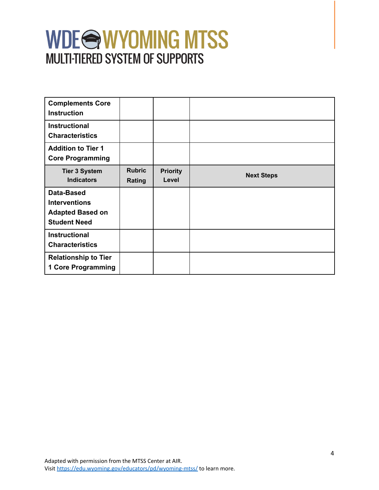| <b>Complements Core</b><br><b>Instruction</b>                                        |                         |                          |                   |
|--------------------------------------------------------------------------------------|-------------------------|--------------------------|-------------------|
| <b>Instructional</b><br><b>Characteristics</b>                                       |                         |                          |                   |
| <b>Addition to Tier 1</b><br><b>Core Programming</b>                                 |                         |                          |                   |
| <b>Tier 3 System</b><br><b>Indicators</b>                                            | <b>Rubric</b><br>Rating | <b>Priority</b><br>Level | <b>Next Steps</b> |
| Data-Based<br><b>Interventions</b><br><b>Adapted Based on</b><br><b>Student Need</b> |                         |                          |                   |
| <b>Instructional</b><br><b>Characteristics</b>                                       |                         |                          |                   |
| <b>Relationship to Tier</b><br><b>1 Core Programming</b>                             |                         |                          |                   |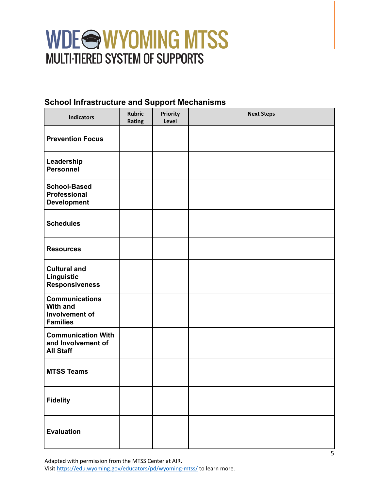#### **School Infrastructure and Support Mechanisms**

| <b>Indicators</b>                                                                    | <b>Rubric</b><br>Rating | Priority<br>Level | <b>Next Steps</b> |
|--------------------------------------------------------------------------------------|-------------------------|-------------------|-------------------|
| <b>Prevention Focus</b>                                                              |                         |                   |                   |
| Leadership<br><b>Personnel</b>                                                       |                         |                   |                   |
| <b>School-Based</b><br>Professional<br><b>Development</b>                            |                         |                   |                   |
| <b>Schedules</b>                                                                     |                         |                   |                   |
| <b>Resources</b>                                                                     |                         |                   |                   |
| <b>Cultural and</b><br>Linguistic<br><b>Responsiveness</b>                           |                         |                   |                   |
| <b>Communications</b><br><b>With and</b><br><b>Involvement of</b><br><b>Families</b> |                         |                   |                   |
| <b>Communication With</b><br>and Involvement of<br><b>All Staff</b>                  |                         |                   |                   |
| <b>MTSS Teams</b>                                                                    |                         |                   |                   |
| <b>Fidelity</b>                                                                      |                         |                   |                   |
| <b>Evaluation</b>                                                                    |                         |                   |                   |

Adapted with permission from the MTSS Center at AIR. Visit <https://edu.wyoming.gov/educators/pd/wyoming-mtss/> to learn more.